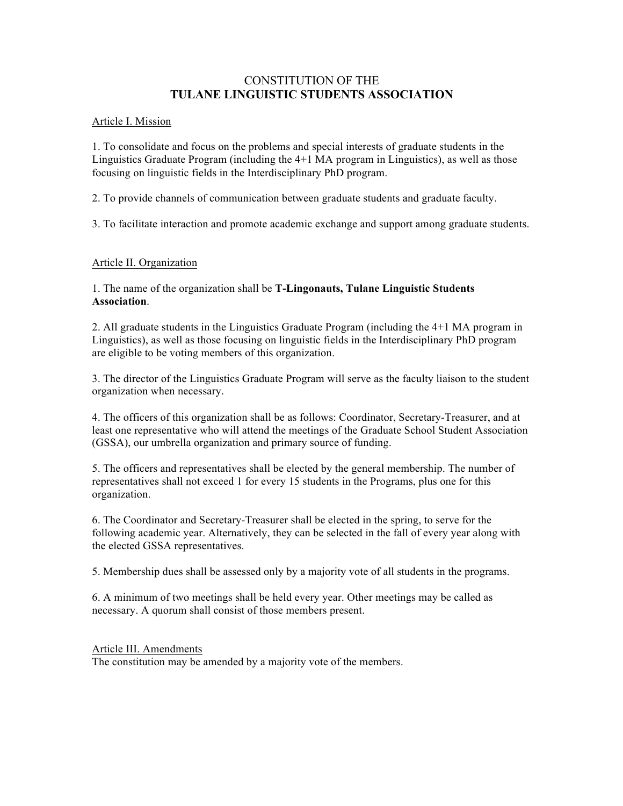# CONSTITUTION OF THE **TULANE LINGUISTIC STUDENTS ASSOCIATION**

### Article I. Mission

1. To consolidate and focus on the problems and special interests of graduate students in the Linguistics Graduate Program (including the 4+1 MA program in Linguistics), as well as those focusing on linguistic fields in the Interdisciplinary PhD program.

2. To provide channels of communication between graduate students and graduate faculty.

3. To facilitate interaction and promote academic exchange and support among graduate students.

## Article II. Organization

1. The name of the organization shall be **T-Lingonauts, Tulane Linguistic Students Association**.

2. All graduate students in the Linguistics Graduate Program (including the 4+1 MA program in Linguistics), as well as those focusing on linguistic fields in the Interdisciplinary PhD program are eligible to be voting members of this organization.

3. The director of the Linguistics Graduate Program will serve as the faculty liaison to the student organization when necessary.

4. The officers of this organization shall be as follows: Coordinator, Secretary-Treasurer, and at least one representative who will attend the meetings of the Graduate School Student Association (GSSA), our umbrella organization and primary source of funding.

5. The officers and representatives shall be elected by the general membership. The number of representatives shall not exceed 1 for every 15 students in the Programs, plus one for this organization.

6. The Coordinator and Secretary-Treasurer shall be elected in the spring, to serve for the following academic year. Alternatively, they can be selected in the fall of every year along with the elected GSSA representatives.

5. Membership dues shall be assessed only by a majority vote of all students in the programs.

6. A minimum of two meetings shall be held every year. Other meetings may be called as necessary. A quorum shall consist of those members present.

### Article III. Amendments

The constitution may be amended by a majority vote of the members.